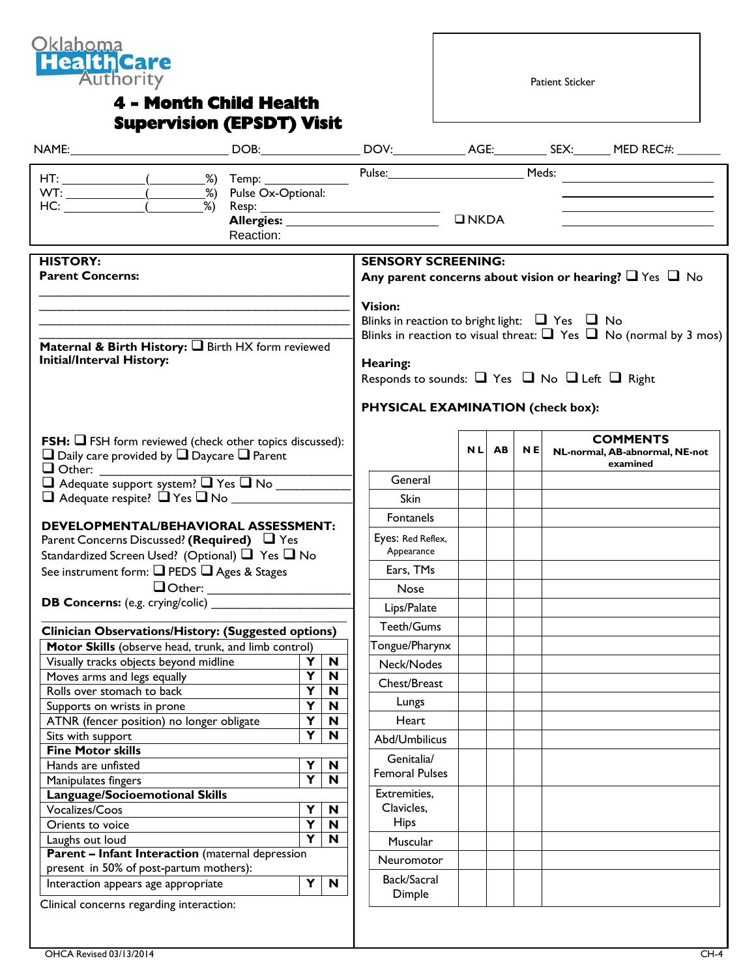

## **4 - Month Child Health Supervision (EPSDT) Visit**

Patient Sticker

| Reaction:                                                                                                                                                                                            | Allergies:              |                                                                                                |                                                                                                                                                                                                                                                             | $\n  INKDA\n$ |           |           |  |                                                               |
|------------------------------------------------------------------------------------------------------------------------------------------------------------------------------------------------------|-------------------------|------------------------------------------------------------------------------------------------|-------------------------------------------------------------------------------------------------------------------------------------------------------------------------------------------------------------------------------------------------------------|---------------|-----------|-----------|--|---------------------------------------------------------------|
| <b>HISTORY:</b><br><b>Parent Concerns:</b>                                                                                                                                                           |                         | <b>SENSORY SCREENING:</b><br>Any parent concerns about vision or hearing? $\Box$ Yes $\Box$ No |                                                                                                                                                                                                                                                             |               |           |           |  |                                                               |
| Maternal & Birth History: I Birth HX form reviewed<br><b>Initial/Interval History:</b>                                                                                                               |                         |                                                                                                | <b>Vision:</b><br>Blinks in reaction to bright light: $\Box$ Yes $\Box$ No<br>Blinks in reaction to visual threat: $\Box$ Yes $\Box$ No (normal by 3 mos)<br>Hearing:<br>Responds to sounds: □ Yes □ No □ Left □ Right<br>PHYSICAL EXAMINATION (check box): |               |           |           |  |                                                               |
| <b>FSH:</b> $\Box$ FSH form reviewed (check other topics discussed):<br>$\Box$ Daily care provided by $\Box$ Daycare $\Box$ Parent<br>$\Box$ Other:                                                  |                         |                                                                                                |                                                                                                                                                                                                                                                             | <b>NLI</b>    | <b>AB</b> | <b>NE</b> |  | <b>COMMENTS</b><br>NL-normal, AB-abnormal, NE-not<br>examined |
| Adequate support system? THes TNo<br>$\Box$ Adequate respite? $\Box$ Yes $\Box$ No                                                                                                                   |                         | General<br><b>Skin</b>                                                                         |                                                                                                                                                                                                                                                             |               |           |           |  |                                                               |
| DEVELOPMENTAL/BEHAVIORAL ASSESSMENT:<br>Parent Concerns Discussed? (Required) $\Box$ Yes<br>Standardized Screen Used? (Optional) $\Box$ Yes $\Box$ No<br>See instrument form: Q PEDS Q Ages & Stages |                         |                                                                                                | Fontanels<br>Eyes: Red Reflex,<br>Appearance<br>Ears, TMs<br><b>Nose</b><br>Lips/Palate                                                                                                                                                                     |               |           |           |  |                                                               |
| Clinician Observations/History: (Suggested options)                                                                                                                                                  |                         |                                                                                                | Teeth/Gums                                                                                                                                                                                                                                                  |               |           |           |  |                                                               |
|                                                                                                                                                                                                      |                         |                                                                                                | Tongue/Pharynx                                                                                                                                                                                                                                              |               |           |           |  |                                                               |
| Motor Skills (observe head, trunk, and limb control)                                                                                                                                                 | Y                       | $\blacksquare$                                                                                 | Neck/Nodes                                                                                                                                                                                                                                                  |               |           |           |  |                                                               |
| Visually tracks objects beyond midline                                                                                                                                                               |                         |                                                                                                |                                                                                                                                                                                                                                                             |               |           |           |  |                                                               |
| Moves arms and legs equally                                                                                                                                                                          | $Y$ N                   |                                                                                                | Chest/Breast                                                                                                                                                                                                                                                |               |           |           |  |                                                               |
| Rolls over stomach to back                                                                                                                                                                           | Y                       | N                                                                                              |                                                                                                                                                                                                                                                             |               |           |           |  |                                                               |
| Supports on wrists in prone                                                                                                                                                                          | Y                       | N                                                                                              | Lungs                                                                                                                                                                                                                                                       |               |           |           |  |                                                               |
| ATNR (fencer position) no longer obligate                                                                                                                                                            | Y<br>Y                  | $\mathbf N$<br>$\mathbf N$                                                                     | Heart                                                                                                                                                                                                                                                       |               |           |           |  |                                                               |
| Sits with support<br><b>Fine Motor skills</b>                                                                                                                                                        |                         |                                                                                                | Abd/Umbilicus                                                                                                                                                                                                                                               |               |           |           |  |                                                               |
| Hands are unfisted                                                                                                                                                                                   | Y                       | $\boldsymbol{\mathsf{N}}$                                                                      | Genitalia/                                                                                                                                                                                                                                                  |               |           |           |  |                                                               |
| Manipulates fingers                                                                                                                                                                                  | $\overline{\mathbf{Y}}$ | $\mathbf N$                                                                                    | <b>Femoral Pulses</b>                                                                                                                                                                                                                                       |               |           |           |  |                                                               |
| Language/Socioemotional Skills                                                                                                                                                                       |                         |                                                                                                | Extremities,                                                                                                                                                                                                                                                |               |           |           |  |                                                               |
| Vocalizes/Coos                                                                                                                                                                                       | Y                       | $\mathbf N$                                                                                    | Clavicles,                                                                                                                                                                                                                                                  |               |           |           |  |                                                               |
| Orients to voice                                                                                                                                                                                     | Y                       | $\boldsymbol{\mathsf{N}}$                                                                      | <b>Hips</b>                                                                                                                                                                                                                                                 |               |           |           |  |                                                               |
| Laughs out loud                                                                                                                                                                                      | $\overline{\mathsf{Y}}$ | $\mathbf N$                                                                                    | Muscular                                                                                                                                                                                                                                                    |               |           |           |  |                                                               |
| <b>Parent - Infant Interaction</b> (maternal depression<br>present in 50% of post-partum mothers):                                                                                                   |                         |                                                                                                | Neuromotor                                                                                                                                                                                                                                                  |               |           |           |  |                                                               |